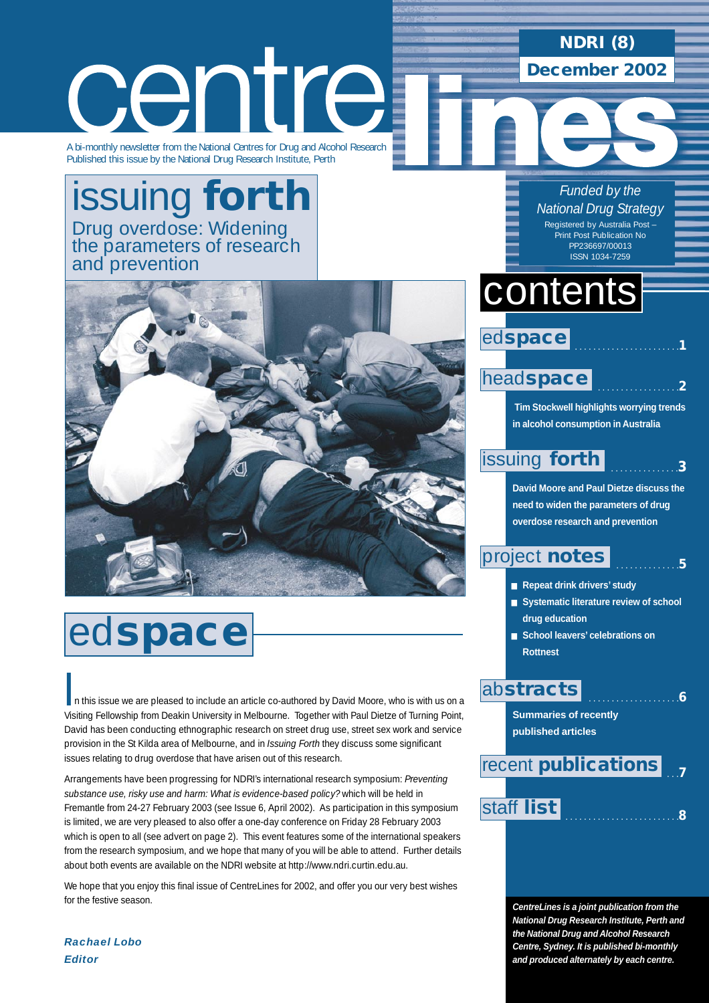## **NDRI (8)**

**December 2002**

centre

A bi-monthly newsletter from the National Centres for Drug and Alcohol Research Published this issue by the National Drug Research Institute, Perth

## issuing **forth** Drug overdose: Widening the parameters of research and prevention



# ed**space**

n this issue we are pleased to include an article co-authored by David Moore, who is with us on a<br>Viciting Esllowship from Doskip University in Melbourne, Tegether with Davi Distre of Turning Doint Visiting Fellowship from Deakin University in Melbourne. Together with Paul Dietze of Turning Point, David has been conducting ethnographic research on street drug use, street sex work and service provision in the St Kilda area of Melbourne, and in *Issuing Forth* they discuss some significant issues relating to drug overdose that have arisen out of this research.

Arrangements have been progressing for NDRI's international research symposium: *Preventing substance use, risky use and harm: What is evidence-based policy?* which will be held in Fremantle from 24-27 February 2003 (see Issue 6, April 2002). As participation in this symposium is limited, we are very pleased to also offer a one-day conference on Friday 28 February 2003 which is open to all (see advert on page 2). This event features some of the international speakers from the research symposium, and we hope that many of you will be able to attend. Further details about both events are available on the NDRI website at http://www.ndri.curtin.edu.au.

We hope that you enjoy this final issue of CentreLines for 2002, and offer you our very best wishes for the festive season.

*Funded by the National Drug Strategy* Registered by Australia Post – Print Post Publication No PP236697/00013 ISSN 1034-7259

# contents



### head**[space](#page-1-0)**

**Tim Stockwell highlights worrying trends in alcohol consumption in Australia**

. . . . . . . . . . . . . . . . . . . . . . .**1**

. . . . . . . . . . . . . . . . . .**2**

. . . . . . . . . . . . . .**5**

. . . . . . . . . . . . . . . . . . . .**6**

#### . . . . . . . . . . . . . . .**3** [issuing](#page-2-0) **forth**

**David Moore and Paul Dietze discuss the need to widen the parameters of drug overdose research and prevention** 

## [project](#page-4-0) **notes**

- **Repeat drink drivers' study**
- **Systematic literature review of school drug education**
- **School leavers' celebrations on Rottnest**

### ab**[stracts](#page-5-0)**

**Summaries of recently published articles** 

#### . . .**7** recent **[publications](#page-6-0)**

## . . . . . . . . . . . . . . . . . . . . . . . . .**<sup>8</sup>** [staff](#page-7-0) **list**

**CentreLines is a joint publication from the National Drug Research Institute, Perth and the National Drug and Alcohol Research Centre, Sydney. It is published bi-monthly and produced alternately by each centre.**

*Rachael Lobo Editor*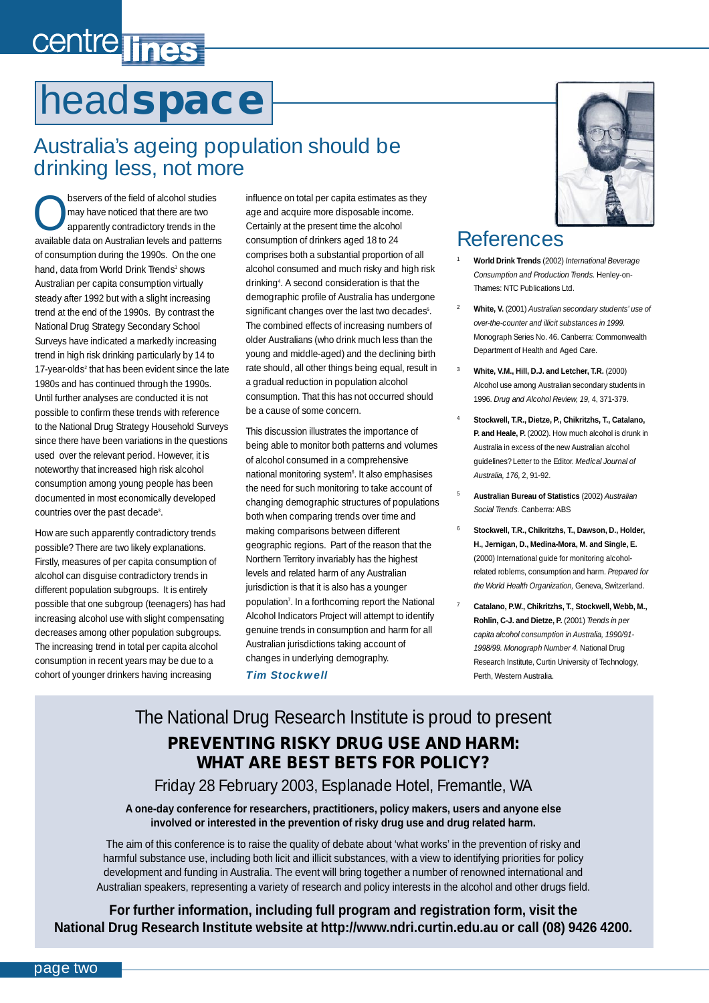# <span id="page-1-0"></span>centre lines

# head**space**

## Australia's ageing population should be drinking less, not more

Servers of the field of alcohol studies<br>
apparently contradictory trends in the<br>
apparently contradictory trends in the may have noticed that there are two available data on Australian levels and patterns of consumption during the 1990s. On the one hand, data from World Drink Trends<sup>1</sup> shows Australian per capita consumption virtually steady after 1992 but with a slight increasing trend at the end of the 1990s. By contrast the National Drug Strategy Secondary School Surveys have indicated a markedly increasing trend in high risk drinking particularly by 14 to 17-year-olds<sup>2</sup> that has been evident since the late 1980s and has continued through the 1990s. Until further analyses are conducted it is not possible to confirm these trends with reference to the National Drug Strategy Household Surveys since there have been variations in the questions used over the relevant period. However, it is noteworthy that increased high risk alcohol consumption among young people has been documented in most economically developed countries over the past decade3 .

How are such apparently contradictory trends possible? There are two likely explanations. Firstly, measures of per capita consumption of alcohol can disguise contradictory trends in different population subgroups. It is entirely possible that one subgroup (teenagers) has had increasing alcohol use with slight compensating decreases among other population subgroups. The increasing trend in total per capita alcohol consumption in recent years may be due to a cohort of younger drinkers having increasing

influence on total per capita estimates as they age and acquire more disposable income. Certainly at the present time the alcohol consumption of drinkers aged 18 to 24 comprises both a substantial proportion of all alcohol consumed and much risky and high risk drinking4 . A second consideration is that the demographic profile of Australia has undergone significant changes over the last two decades<sup>5</sup>. The combined effects of increasing numbers of older Australians (who drink much less than the young and middle-aged) and the declining birth rate should, all other things being equal, result in a gradual reduction in population alcohol consumption. That this has not occurred should be a cause of some concern.

This discussion illustrates the importance of being able to monitor both patterns and volumes of alcohol consumed in a comprehensive national monitoring system<sup>6</sup>. It also emphasises the need for such monitoring to take account of changing demographic structures of populations both when comparing trends over time and making comparisons between different geographic regions. Part of the reason that the Northern Territory invariably has the highest levels and related harm of any Australian jurisdiction is that it is also has a younger population<sup>7</sup>. In a forthcoming report the National Alcohol Indicators Project will attempt to identify genuine trends in consumption and harm for all Australian jurisdictions taking account of changes in underlying demography.

#### *Tim Stockwell*



## References

- <sup>1</sup> **World Drink Trends** (2002) *International Beverage Consumption and Production Trends.* Henley-on-Thames: NTC Publications Ltd.
- <sup>2</sup> **White, V.** (2001) *Australian secondary students' use of over-the-counter and illicit substances in 1999.* Monograph Series No. 46. Canberra: Commonwealth Department of Health and Aged Care.
- <sup>3</sup> **White, V.M., Hill, D.J. and Letcher, T.R.** (2000) Alcohol use among Australian secondary students in 1996. *Drug and Alcohol Review, 19,* 4, 371-379.
- <sup>4</sup> **Stockwell, T.R., Dietze, P., Chikritzhs, T., Catalano, P. and Heale, P.** (2002). How much alcohol is drunk in Australia in excess of the new Australian alcohol guidelines? Letter to the Editor. *Medical Journal of Australia, 176,* 2, 91-92.
- <sup>5</sup> **Australian Bureau of Statistics** (2002) *Australian Social Trends.* Canberra: ABS
- <sup>6</sup> **Stockwell, T.R., Chikritzhs, T., Dawson, D., Holder, H., Jernigan, D., Medina-Mora, M. and Single, E.** (2000) International guide for monitoring alcoholrelated roblems, consumption and harm. *Prepared for the World Health Organization,* Geneva, Switzerland.
- <sup>7</sup> **Catalano, P.W., Chikritzhs, T., Stockwell, Webb, M., Rohlin, C-J. and Dietze, P.** (2001) *Trends in per capita alcohol consumption in Australia, 1990/91- 1998/99. Monograph Number 4.* National Drug Research Institute, Curtin University of Technology, Perth, Western Australia.

## The National Drug Research Institute is proud to present **PREVENTING RISKY DRUG USE AND HARM: WHAT ARE BEST BETS FOR POLICY?**

### Friday 28 February 2003, Esplanade Hotel, Fremantle, WA

#### **A one-day conference for researchers, practitioners, policy makers, users and anyone else involved or interested in the prevention of risky drug use and drug related harm.**

The aim of this conference is to raise the quality of debate about 'what works' in the prevention of risky and harmful substance use, including both licit and illicit substances, with a view to identifying priorities for policy development and funding in Australia. The event will bring together a number of renowned international and Australian speakers, representing a variety of research and policy interests in the alcohol and other drugs field.

**For further information, including full program and registration form, visit the National Drug Research Institute website at<http://www.ndri.curtin.edu.au> or call (08) 9426 4200.**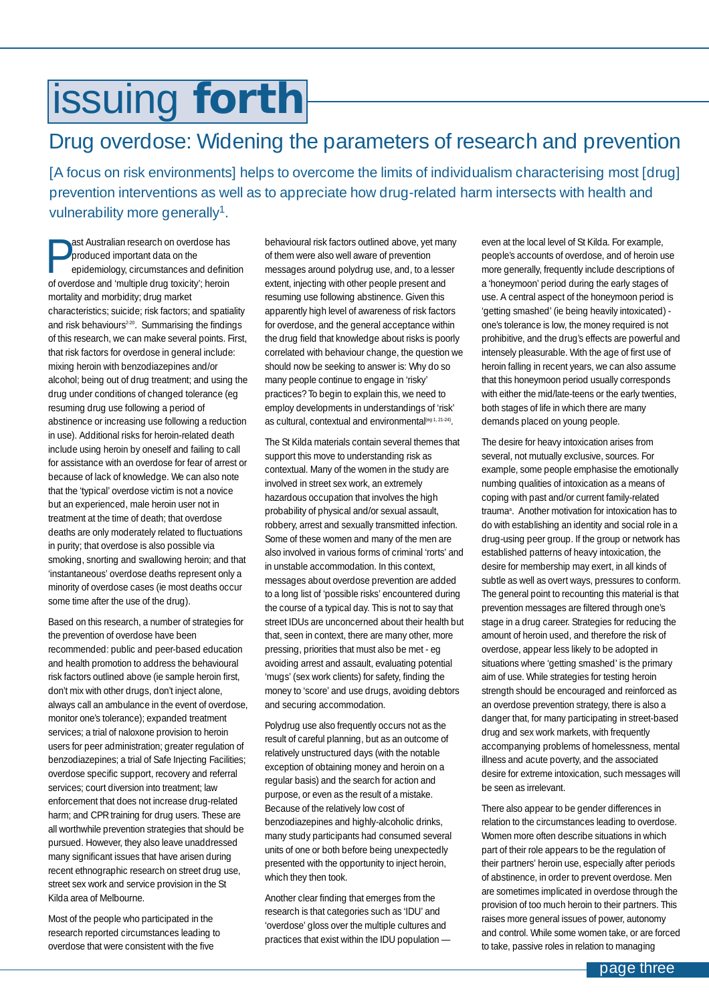# <span id="page-2-0"></span>issuing **forth**

## Drug overdose: Widening the parameters of research and prevention

[A focus on risk environments] helps to overcome the limits of individualism characterising most [drug] prevention interventions as well as to appreciate how drug-related harm intersects with health and vulnerability more generally<sup>1</sup>.

**Past Australian research on overdose has**<br>
epidemiology, circumstances and definition<br>
of guardians and (multiple drug toujoit the basic produced important data on the of overdose and 'multiple drug toxicity'; heroin mortality and morbidity; drug market characteristics; suicide; risk factors; and spatiality and risk behaviours<sup>2-20</sup>. Summarising the findings of this research, we can make several points. First, that risk factors for overdose in general include: mixing heroin with benzodiazepines and/or alcohol; being out of drug treatment; and using the drug under conditions of changed tolerance (eg resuming drug use following a period of abstinence or increasing use following a reduction in use). Additional risks for heroin-related death include using heroin by oneself and failing to call for assistance with an overdose for fear of arrest or because of lack of knowledge. We can also note that the 'typical' overdose victim is not a novice but an experienced, male heroin user not in treatment at the time of death; that overdose deaths are only moderately related to fluctuations in purity; that overdose is also possible via smoking, snorting and swallowing heroin; and that 'instantaneous' overdose deaths represent only a minority of overdose cases (ie most deaths occur some time after the use of the drug).

Based on this research, a number of strategies for the prevention of overdose have been recommended: public and peer-based education and health promotion to address the behavioural risk factors outlined above (ie sample heroin first, don't mix with other drugs, don't inject alone, always call an ambulance in the event of overdose, monitor one's tolerance); expanded treatment services; a trial of naloxone provision to heroin users for peer administration; greater regulation of benzodiazepines; a trial of Safe Injecting Facilities; overdose specific support, recovery and referral services; court diversion into treatment; law enforcement that does not increase drug-related harm; and CPR training for drug users. These are all worthwhile prevention strategies that should be pursued. However, they also leave unaddressed many significant issues that have arisen during recent ethnographic research on street drug use, street sex work and service provision in the St Kilda area of Melbourne.

Most of the people who participated in the research reported circumstances leading to overdose that were consistent with the five

behavioural risk factors outlined above, yet many of them were also well aware of prevention messages around polydrug use, and, to a lesser extent, injecting with other people present and resuming use following abstinence. Given this apparently high level of awareness of risk factors for overdose, and the general acceptance within the drug field that knowledge about risks is poorly correlated with behaviour change, the question we should now be seeking to answer is: Why do so many people continue to engage in 'risky' practices? To begin to explain this, we need to employ developments in understandings of 'risk' as cultural, contextual and environmental<sup>(eg 1, 21-24)</sup>.

The St Kilda materials contain several themes that support this move to understanding risk as contextual. Many of the women in the study are involved in street sex work, an extremely hazardous occupation that involves the high probability of physical and/or sexual assault, robbery, arrest and sexually transmitted infection. Some of these women and many of the men are also involved in various forms of criminal 'rorts' and in unstable accommodation. In this context, messages about overdose prevention are added to a long list of 'possible risks' encountered during the course of a typical day. This is not to say that street IDUs are unconcerned about their health but that, seen in context, there are many other, more pressing, priorities that must also be met - eg avoiding arrest and assault, evaluating potential 'mugs' (sex work clients) for safety, finding the money to 'score' and use drugs, avoiding debtors and securing accommodation.

Polydrug use also frequently occurs not as the result of careful planning, but as an outcome of relatively unstructured days (with the notable exception of obtaining money and heroin on a regular basis) and the search for action and purpose, or even as the result of a mistake. Because of the relatively low cost of benzodiazepines and highly-alcoholic drinks, many study participants had consumed several units of one or both before being unexpectedly presented with the opportunity to inject heroin, which they then took.

Another clear finding that emerges from the research is that categories such as 'IDU' and 'overdose' gloss over the multiple cultures and practices that exist within the IDU population —

even at the local level of St Kilda. For example, people's accounts of overdose, and of heroin use more generally, frequently include descriptions of a 'honeymoon' period during the early stages of use. A central aspect of the honeymoon period is 'getting smashed' (ie being heavily intoxicated) one's tolerance is low, the money required is not prohibitive, and the drug's effects are powerful and intensely pleasurable. With the age of first use of heroin falling in recent years, we can also assume that this honeymoon period usually corresponds with either the mid/late-teens or the early twenties, both stages of life in which there are many demands placed on young people.

The desire for heavy intoxication arises from several, not mutually exclusive, sources. For example, some people emphasise the emotionally numbing qualities of intoxication as a means of coping with past and/or current family-related trauma<sup>a</sup>. Another motivation for intoxication has to do with establishing an identity and social role in a drug-using peer group. If the group or network has established patterns of heavy intoxication, the desire for membership may exert, in all kinds of subtle as well as overt ways, pressures to conform. The general point to recounting this material is that prevention messages are filtered through one's stage in a drug career. Strategies for reducing the amount of heroin used, and therefore the risk of overdose, appear less likely to be adopted in situations where 'getting smashed' is the primary aim of use. While strategies for testing heroin strength should be encouraged and reinforced as an overdose prevention strategy, there is also a danger that, for many participating in street-based drug and sex work markets, with frequently accompanying problems of homelessness, mental illness and acute poverty, and the associated desire for extreme intoxication, such messages will be seen as irrelevant.

There also appear to be gender differences in relation to the circumstances leading to overdose. Women more often describe situations in which part of their role appears to be the regulation of their partners' heroin use, especially after periods of abstinence, in order to prevent overdose. Men are sometimes implicated in overdose through the provision of too much heroin to their partners. This raises more general issues of power, autonomy and control. While some women take, or are forced to take, passive roles in relation to managing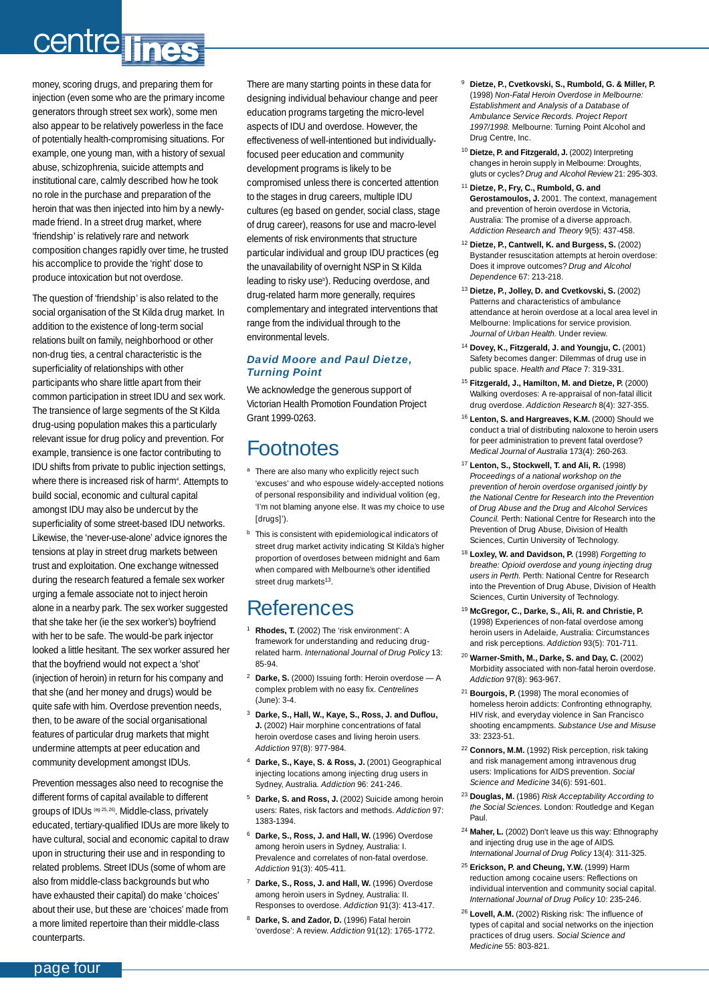# centre lines

money, scoring drugs, and preparing them for injection (even some who are the primary income generators through street sex work), some men also appear to be relatively powerless in the face of potentially health-compromising situations. For example, one young man, with a history of sexual abuse, schizophrenia, suicide attempts and institutional care, calmly described how he took no role in the purchase and preparation of the heroin that was then injected into him by a newlymade friend. In a street drug market, where 'friendship' is relatively rare and network composition changes rapidly over time, he trusted his accomplice to provide the 'right' dose to produce intoxication but not overdose.

The question of 'friendship' is also related to the social organisation of the St Kilda drug market. In addition to the existence of long-term social relations built on family, neighborhood or other non-drug ties, a central characteristic is the superficiality of relationships with other participants who share little apart from their common participation in street IDU and sex work. The transience of large segments of the St Kilda drug-using population makes this a particularly relevant issue for drug policy and prevention. For example, transience is one factor contributing to IDU shifts from private to public injection settings, where there is increased risk of harm<sup>4</sup>. Attempts to build social, economic and cultural capital amongst IDU may also be undercut by the superficiality of some street-based IDU networks. Likewise, the 'never-use-alone' advice ignores the tensions at play in street drug markets between trust and exploitation. One exchange witnessed during the research featured a female sex worker urging a female associate not to inject heroin alone in a nearby park. The sex worker suggested that she take her (ie the sex worker's) boyfriend with her to be safe. The would-be park injector looked a little hesitant. The sex worker assured her that the boyfriend would not expect a 'shot' (injection of heroin) in return for his company and that she (and her money and drugs) would be quite safe with him. Overdose prevention needs, then, to be aware of the social organisational features of particular drug markets that might undermine attempts at peer education and community development amongst IDUs.

Prevention messages also need to recognise the different forms of capital available to different groups of IDUs (eg 25, 26). Middle-class, privately educated, tertiary-qualified IDUs are more likely to have cultural, social and economic capital to draw upon in structuring their use and in responding to related problems. Street IDUs (some of whom are also from middle-class backgrounds but who have exhausted their capital) do make 'choices' about their use, but these are 'choices' made from a more limited repertoire than their middle-class counterparts.

There are many starting points in these data for designing individual behaviour change and peer education programs targeting the micro-level aspects of IDU and overdose. However, the effectiveness of well-intentioned but individuallyfocused peer education and community development programs is likely to be compromised unless there is concerted attention to the stages in drug careers, multiple IDU cultures (eg based on gender, social class, stage of drug career), reasons for use and macro-level elements of risk environments that structure particular individual and group IDU practices (eg the unavailability of overnight NSP in St Kilda leading to risky use<sup>b</sup>). Reducing overdose, and drug-related harm more generally, requires complementary and integrated interventions that range from the individual through to the environmental levels.

#### *David Moore and Paul Dietze, Turning Point*

We acknowledge the generous support of Victorian Health Promotion Foundation Project Grant 1999-0263.

## Footnotes

- a There are also many who explicitly reject such 'excuses' and who espouse widely-accepted notions of personal responsibility and individual volition (eg, 'I'm not blaming anyone else. It was my choice to use [drugs]').
- **b** This is consistent with epidemiological indicators of street drug market activity indicating St Kilda's higher proportion of overdoses between midnight and 6am when compared with Melbourne's other identified street drug markets<sup>13</sup>

## References

- Rhodes, T. (2002) The 'risk environment': A framework for understanding and reducing drugrelated harm. *International Journal of Drug Policy* 13: 85-94.
- <sup>2</sup> **Darke, S.** (2000) Issuing forth: Heroin overdose A complex problem with no easy fix. *Centrelines* (June): 3-4.
- <sup>3</sup> **Darke, S., Hall, W., Kaye, S., Ross, J. and Duflou, J.** (2002) Hair morphine concentrations of fatal heroin overdose cases and living heroin users. *Addiction* 97(8): 977-984.
- <sup>4</sup> **Darke, S., Kaye, S. & Ross, J.** (2001) Geographical injecting locations among injecting drug users in Sydney, Australia. *Addiction* 96: 241-246.
- <sup>5</sup> **Darke, S. and Ross, J.** (2002) Suicide among heroin users: Rates, risk factors and methods. *Addiction* 97: 1383-1394.
- <sup>6</sup> **Darke, S., Ross, J. and Hall, W.** (1996) Overdose among heroin users in Sydney, Australia: I. Prevalence and correlates of non-fatal overdose. *Addiction* 91(3): 405-411.
- **Darke, S., Ross, J. and Hall, W.** (1996) Overdose among heroin users in Sydney, Australia: II. Responses to overdose. *Addiction* 91(3): 413-417.
- Darke, S. and Zador, D. (1996) Fatal heroin 'overdose': A review. *Addiction* 91(12): 1765-1772.
- <sup>9</sup> **Dietze, P., Cvetkovski, S., Rumbold, G. & Miller, P.** (1998) *Non-Fatal Heroin Overdose in Melbourne: Establishment and Analysis of a Database of Ambulance Service Records. Project Report 1997/1998.* Melbourne: Turning Point Alcohol and Drug Centre, Inc.
- <sup>10</sup> **Dietze, P. and Fitzgerald, J.** (2002) Interpreting changes in heroin supply in Melbourne: Droughts, gluts or cycles? *Drug and Alcohol Review* 21: 295-303.
- <sup>11</sup> **Dietze, P., Fry, C., Rumbold, G. and Gerostamoulos, J.** 2001. The context, management and prevention of heroin overdose in Victoria, Australia: The promise of a diverse approach. *Addiction Research and Theory* 9(5): 437-458.
- <sup>12</sup> **Dietze, P., Cantwell, K. and Burgess, S.** (2002) Bystander resuscitation attempts at heroin overdose: Does it improve outcomes? *Drug and Alcohol Dependence* 67: 213-218.
- <sup>13</sup> **Dietze, P., Jolley, D. and Cvetkovski, S.** (2002) Patterns and characteristics of ambulance attendance at heroin overdose at a local area level in Melbourne: Implications for service provision. *Journal of Urban Health.* Under review.
- <sup>14</sup> **Dovey, K., Fitzgerald, J. and Youngju, C.** (2001) Safety becomes danger: Dilemmas of drug use in public space. *Health and Place* 7: 319-331.
- <sup>15</sup> **Fitzgerald, J., Hamilton, M. and Dietze, P.** (2000) Walking overdoses: A re-appraisal of non-fatal illicit drug overdose. *Addiction Research* 8(4): 327-355.
- <sup>16</sup> **Lenton, S. and Hargreaves, K.M.** (2000) Should we conduct a trial of distributing naloxone to heroin users for peer administration to prevent fatal overdose? *Medical Journal of Australia* 173(4): 260-263.
- <sup>17</sup> **Lenton, S., Stockwell, T. and Ali, R.** (1998) *Proceedings of a national workshop on the prevention of heroin overdose organised jointly by the National Centre for Research into the Prevention of Drug Abuse and the Drug and Alcohol Services Council.* Perth: National Centre for Research into the Prevention of Drug Abuse, Division of Health Sciences, Curtin University of Technology.
- <sup>18</sup> **Loxley, W. and Davidson, P.** (1998) *Forgetting to breathe: Opioid overdose and young injecting drug users in Perth.* Perth: National Centre for Research into the Prevention of Drug Abuse, Division of Health Sciences, Curtin University of Technology.
- <sup>19</sup> **McGregor, C., Darke, S., Ali, R. and Christie, P.** (1998) Experiences of non-fatal overdose among heroin users in Adelaide, Australia: Circumstances and risk perceptions. *Addiction* 93(5): 701-711.
- <sup>20</sup> **Warner-Smith, M., Darke, S. and Day, C.** (2002) Morbidity associated with non-fatal heroin overdose. *Addiction* 97(8): 963-967.
- <sup>21</sup> **Bourgois, P.** (1998) The moral economies of homeless heroin addicts: Confronting ethnography, HIV risk, and everyday violence in San Francisco shooting encampments. *Substance Use and Misuse* 33: 2323-51.
- <sup>22</sup> **Connors, M.M.** (1992) Risk perception, risk taking and risk management among intravenous drug users: Implications for AIDS prevention. *Social Science and Medicine* 34(6): 591-601.
- <sup>23</sup> **Douglas, M.** (1986) *Risk Acceptability According to the Social Sciences.* London: Routledge and Kegan Paul.
- <sup>24</sup> **Maher, L.** (2002) Don't leave us this way: Ethnography and injecting drug use in the age of AIDS. *International Journal of Drug Policy* 13(4): 311-325.
- <sup>25</sup> **Erickson, P. and Cheung, Y.W.** (1999) Harm reduction among cocaine users: Reflections on individual intervention and community social capital. *International Journal of Drug Policy* 10: 235-246.
- <sup>26</sup> **Lovell, A.M.** (2002) Risking risk: The influence of types of capital and social networks on the injection practices of drug users. *Social Science and Medicine* 55: 803-821.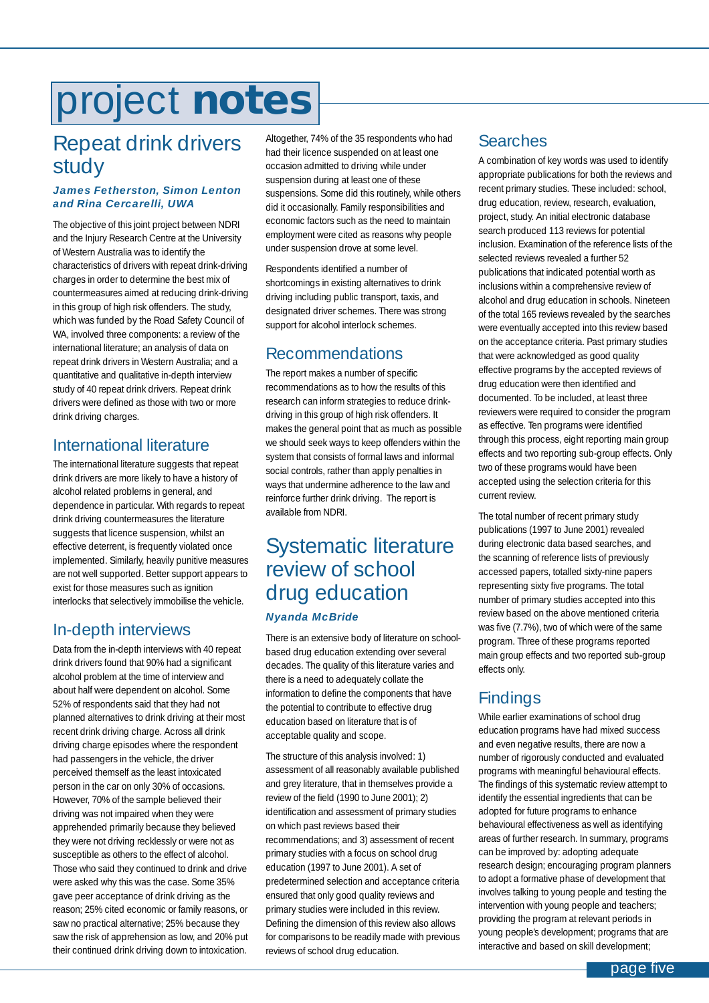# <span id="page-4-0"></span>project **notes**

## Repeat drink drivers study

#### *James Fetherston, Simon Lenton and Rina Cercarelli, UWA*

The objective of this joint project between NDRI and the Injury Research Centre at the University of Western Australia was to identify the characteristics of drivers with repeat drink-driving charges in order to determine the best mix of countermeasures aimed at reducing drink-driving in this group of high risk offenders. The study, which was funded by the Road Safety Council of WA, involved three components: a review of the international literature; an analysis of data on repeat drink drivers in Western Australia; and a quantitative and qualitative in-depth interview study of 40 repeat drink drivers. Repeat drink drivers were defined as those with two or more drink driving charges.

### International literature

The international literature suggests that repeat drink drivers are more likely to have a history of alcohol related problems in general, and dependence in particular. With regards to repeat drink driving countermeasures the literature suggests that licence suspension, whilst an effective deterrent, is frequently violated once implemented. Similarly, heavily punitive measures are not well supported. Better support appears to exist for those measures such as ignition interlocks that selectively immobilise the vehicle.

### In-depth interviews

Data from the in-depth interviews with 40 repeat drink drivers found that 90% had a significant alcohol problem at the time of interview and about half were dependent on alcohol. Some 52% of respondents said that they had not planned alternatives to drink driving at their most recent drink driving charge. Across all drink driving charge episodes where the respondent had passengers in the vehicle, the driver perceived themself as the least intoxicated person in the car on only 30% of occasions. However, 70% of the sample believed their driving was not impaired when they were apprehended primarily because they believed they were not driving recklessly or were not as susceptible as others to the effect of alcohol. Those who said they continued to drink and drive were asked why this was the case. Some 35% gave peer acceptance of drink driving as the reason; 25% cited economic or family reasons, or saw no practical alternative; 25% because they saw the risk of apprehension as low, and 20% put their continued drink driving down to intoxication.

Altogether, 74% of the 35 respondents who had had their licence suspended on at least one occasion admitted to driving while under suspension during at least one of these suspensions. Some did this routinely, while others did it occasionally. Family responsibilities and economic factors such as the need to maintain employment were cited as reasons why people under suspension drove at some level.

Respondents identified a number of shortcomings in existing alternatives to drink driving including public transport, taxis, and designated driver schemes. There was strong support for alcohol interlock schemes.

## Recommendations

The report makes a number of specific recommendations as to how the results of this research can inform strategies to reduce drinkdriving in this group of high risk offenders. It makes the general point that as much as possible we should seek ways to keep offenders within the system that consists of formal laws and informal social controls, rather than apply penalties in ways that undermine adherence to the law and reinforce further drink driving. The report is available from NDRI.

## Systematic literature review of school drug education *Nyanda McBride*

There is an extensive body of literature on schoolbased drug education extending over several decades. The quality of this literature varies and there is a need to adequately collate the information to define the components that have the potential to contribute to effective drug education based on literature that is of acceptable quality and scope.

The structure of this analysis involved: 1) assessment of all reasonably available published and grey literature, that in themselves provide a review of the field (1990 to June 2001); 2) identification and assessment of primary studies on which past reviews based their recommendations; and 3) assessment of recent primary studies with a focus on school drug education (1997 to June 2001). A set of predetermined selection and acceptance criteria ensured that only good quality reviews and primary studies were included in this review. Defining the dimension of this review also allows for comparisons to be readily made with previous reviews of school drug education.

## Searches

A combination of key words was used to identify appropriate publications for both the reviews and recent primary studies. These included: school, drug education, review, research, evaluation, project, study. An initial electronic database search produced 113 reviews for potential inclusion. Examination of the reference lists of the selected reviews revealed a further 52 publications that indicated potential worth as inclusions within a comprehensive review of alcohol and drug education in schools. Nineteen of the total 165 reviews revealed by the searches were eventually accepted into this review based on the acceptance criteria. Past primary studies that were acknowledged as good quality effective programs by the accepted reviews of drug education were then identified and documented. To be included, at least three reviewers were required to consider the program as effective. Ten programs were identified through this process, eight reporting main group effects and two reporting sub-group effects. Only two of these programs would have been accepted using the selection criteria for this current review.

The total number of recent primary study publications (1997 to June 2001) revealed during electronic data based searches, and the scanning of reference lists of previously accessed papers, totalled sixty-nine papers representing sixty five programs. The total number of primary studies accepted into this review based on the above mentioned criteria was five (7.7%), two of which were of the same program. Three of these programs reported main group effects and two reported sub-group effects only.

## **Findings**

While earlier examinations of school drug education programs have had mixed success and even negative results, there are now a number of rigorously conducted and evaluated programs with meaningful behavioural effects. The findings of this systematic review attempt to identify the essential ingredients that can be adopted for future programs to enhance behavioural effectiveness as well as identifying areas of further research. In summary, programs can be improved by: adopting adequate research design; encouraging program planners to adopt a formative phase of development that involves talking to young people and testing the intervention with young people and teachers; providing the program at relevant periods in young people's development; programs that are interactive and based on skill development;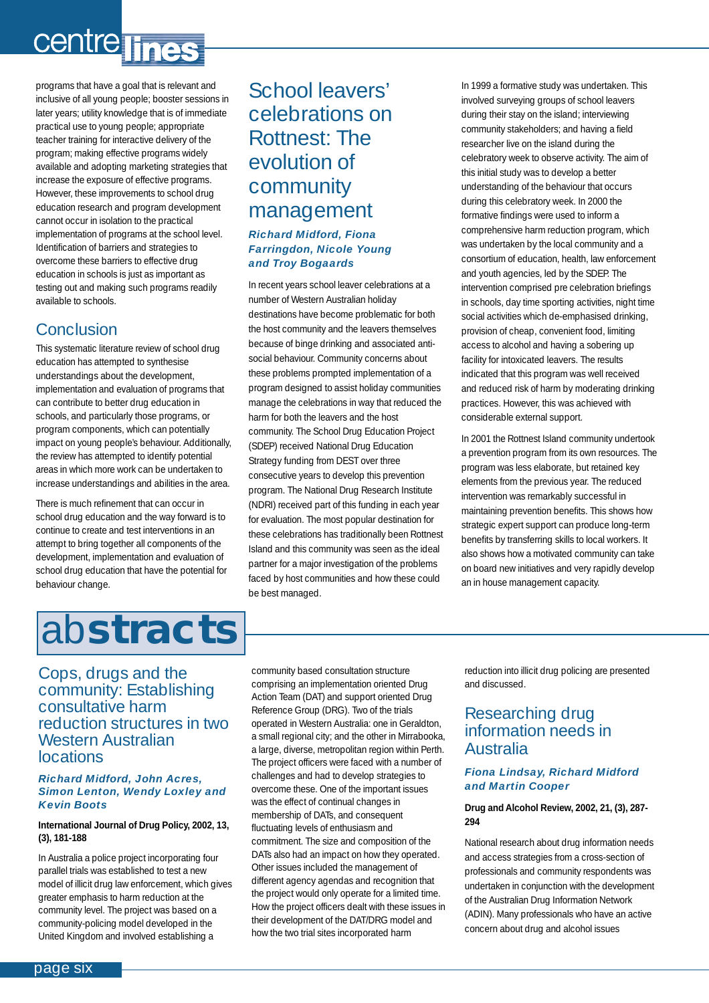# <span id="page-5-0"></span>centre lines

programs that have a goal that is relevant and inclusive of all young people; booster sessions in later years; utility knowledge that is of immediate practical use to young people; appropriate teacher training for interactive delivery of the program; making effective programs widely available and adopting marketing strategies that increase the exposure of effective programs. However, these improvements to school drug education research and program development cannot occur in isolation to the practical implementation of programs at the school level. Identification of barriers and strategies to overcome these barriers to effective drug education in schools is just as important as testing out and making such programs readily available to schools.

### Conclusion

This systematic literature review of school drug education has attempted to synthesise understandings about the development, implementation and evaluation of programs that can contribute to better drug education in schools, and particularly those programs, or program components, which can potentially impact on young people's behaviour. Additionally, the review has attempted to identify potential areas in which more work can be undertaken to increase understandings and abilities in the area.

There is much refinement that can occur in school drug education and the way forward is to continue to create and test interventions in an attempt to bring together all components of the development, implementation and evaluation of school drug education that have the potential for behaviour change.

# ab**stracts**

## School leavers' celebrations on Rottnest: The evolution of community management

#### *Richard Midford, Fiona Farringdon, Nicole Young and Troy Bogaards*

In recent years school leaver celebrations at a number of Western Australian holiday destinations have become problematic for both the host community and the leavers themselves because of binge drinking and associated antisocial behaviour. Community concerns about these problems prompted implementation of a program designed to assist holiday communities manage the celebrations in way that reduced the harm for both the leavers and the host community. The School Drug Education Project (SDEP) received National Drug Education Strategy funding from DEST over three consecutive years to develop this prevention program. The National Drug Research Institute (NDRI) received part of this funding in each year for evaluation. The most popular destination for these celebrations has traditionally been Rottnest Island and this community was seen as the ideal partner for a major investigation of the problems faced by host communities and how these could be best managed.

In 1999 a formative study was undertaken. This involved surveying groups of school leavers during their stay on the island; interviewing community stakeholders; and having a field researcher live on the island during the celebratory week to observe activity. The aim of this initial study was to develop a better understanding of the behaviour that occurs during this celebratory week. In 2000 the formative findings were used to inform a comprehensive harm reduction program, which was undertaken by the local community and a consortium of education, health, law enforcement and youth agencies, led by the SDEP. The intervention comprised pre celebration briefings in schools, day time sporting activities, night time social activities which de-emphasised drinking, provision of cheap, convenient food, limiting access to alcohol and having a sobering up facility for intoxicated leavers. The results indicated that this program was well received and reduced risk of harm by moderating drinking practices. However, this was achieved with considerable external support.

In 2001 the Rottnest Island community undertook a prevention program from its own resources. The program was less elaborate, but retained key elements from the previous year. The reduced intervention was remarkably successful in maintaining prevention benefits. This shows how strategic expert support can produce long-term benefits by transferring skills to local workers. It also shows how a motivated community can take on board new initiatives and very rapidly develop an in house management capacity.

#### Cops, drugs and the community: Establishing consultative harm reduction structures in two Western Australian locations

#### *Richard Midford, John Acres, Simon Lenton, Wendy Loxley and Kevin Boots*

#### **International Journal of Drug Policy, 2002, 13, (3), 181-188**

In Australia a police project incorporating four parallel trials was established to test a new model of illicit drug law enforcement, which gives greater emphasis to harm reduction at the community level. The project was based on a community-policing model developed in the United Kingdom and involved establishing a

community based consultation structure comprising an implementation oriented Drug Action Team (DAT) and support oriented Drug Reference Group (DRG). Two of the trials operated in Western Australia: one in Geraldton, a small regional city; and the other in Mirrabooka, a large, diverse, metropolitan region within Perth. The project officers were faced with a number of challenges and had to develop strategies to overcome these. One of the important issues was the effect of continual changes in membership of DATs, and consequent fluctuating levels of enthusiasm and commitment. The size and composition of the DATs also had an impact on how they operated. Other issues included the management of different agency agendas and recognition that the project would only operate for a limited time. How the project officers dealt with these issues in their development of the DAT/DRG model and how the two trial sites incorporated harm

reduction into illicit drug policing are presented and discussed.

### Researching drug information needs in Australia

#### *Fiona Lindsay, Richard Midford and Martin Cooper*

#### **Drug and Alcohol Review, 2002, 21, (3), 287- 294**

National research about drug information needs and access strategies from a cross-section of professionals and community respondents was undertaken in conjunction with the development of the Australian Drug Information Network (ADIN). Many professionals who have an active concern about drug and alcohol issues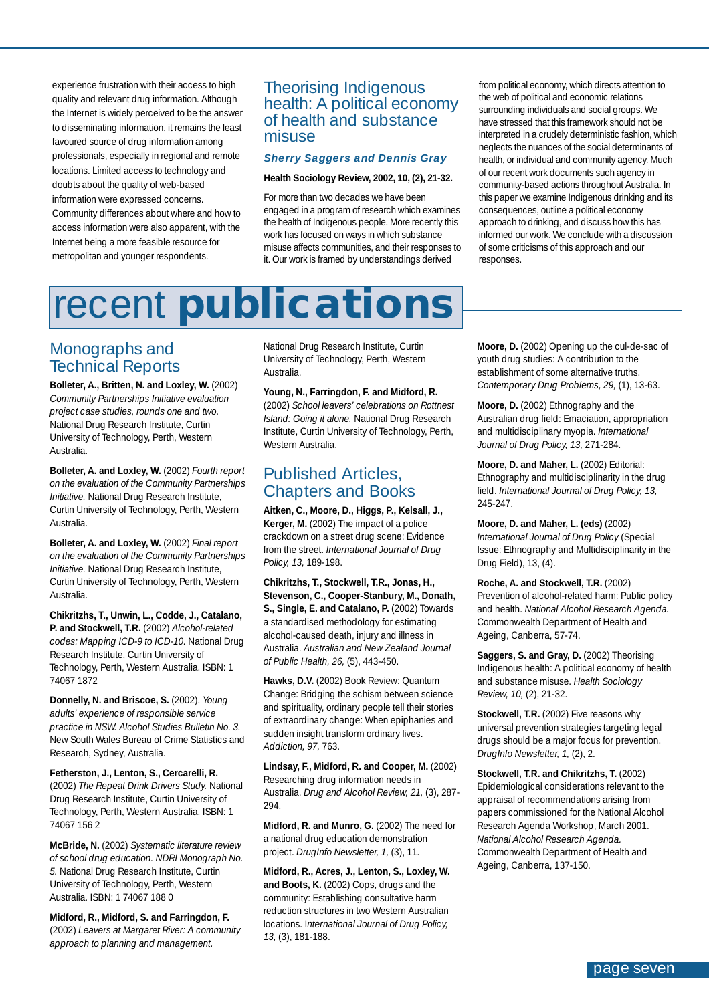<span id="page-6-0"></span>experience frustration with their access to high quality and relevant drug information. Although the Internet is widely perceived to be the answer to disseminating information, it remains the least favoured source of drug information among professionals, especially in regional and remote locations. Limited access to technology and doubts about the quality of web-based information were expressed concerns. Community differences about where and how to access information were also apparent, with the Internet being a more feasible resource for metropolitan and younger respondents.

### Theorising Indigenous health: A political economy of health and substance misuse

#### *Sherry Saggers and Dennis Gray*

#### **Health Sociology Review, 2002, 10, (2), 21-32.**

For more than two decades we have been engaged in a program of research which examines the health of Indigenous people. More recently this work has focused on ways in which substance misuse affects communities, and their responses to it. Our work is framed by understandings derived

from political economy, which directs attention to the web of political and economic relations surrounding individuals and social groups. We have stressed that this framework should not be interpreted in a crudely deterministic fashion, which neglects the nuances of the social determinants of health, or individual and community agency. Much of our recent work documents such agency in community-based actions throughout Australia. In this paper we examine Indigenous drinking and its consequences, outline a political economy approach to drinking, and discuss how this has informed our work. We conclude with a discussion of some criticisms of this approach and our responses.

# recent **publications**

### Monographs and Technical Reports

**Bolleter, A., Britten, N. and Loxley, W.** (2002) *Community Partnerships Initiative evaluation project case studies, rounds one and two.* National Drug Research Institute, Curtin University of Technology, Perth, Western Australia.

**Bolleter, A. and Loxley, W.** (2002) *Fourth report on the evaluation of the Community Partnerships Initiative.* National Drug Research Institute, Curtin University of Technology, Perth, Western Australia.

**Bolleter, A. and Loxley, W.** (2002) *Final report on the evaluation of the Community Partnerships Initiative.* National Drug Research Institute, Curtin University of Technology, Perth, Western Australia.

**Chikritzhs, T., Unwin, L., Codde, J., Catalano, P. and Stockwell, T.R.** (2002) *Alcohol-related codes: Mapping ICD-9 to ICD-10.* National Drug Research Institute, Curtin University of Technology, Perth, Western Australia. ISBN: 1 74067 1872

**Donnelly, N. and Briscoe, S.** (2002). *Young adults' experience of responsible service practice in NSW. Alcohol Studies Bulletin No. 3.* New South Wales Bureau of Crime Statistics and Research, Sydney, Australia.

**Fetherston, J., Lenton, S., Cercarelli, R.** (2002) *The Repeat Drink Drivers Study.* National Drug Research Institute, Curtin University of Technology, Perth, Western Australia. ISBN: 1 74067 156 2

**McBride, N.** (2002) *Systematic literature review of school drug education. NDRI Monograph No. 5.* National Drug Research Institute, Curtin University of Technology, Perth, Western Australia. ISBN: 1 74067 188 0

**Midford, R., Midford, S. and Farringdon, F.** (2002) *Leavers at Margaret River: A community approach to planning and management.*

National Drug Research Institute, Curtin University of Technology, Perth, Western Australia.

#### **Young, N., Farringdon, F. and Midford, R.**

(2002) *School leavers' celebrations on Rottnest Island: Going it alone.* National Drug Research Institute, Curtin University of Technology, Perth, Western Australia.

### Published Articles, Chapters and Books

**Aitken, C., Moore, D., Higgs, P., Kelsall, J., Kerger, M.** (2002) The impact of a police crackdown on a street drug scene: Evidence from the street. *International Journal of Drug Policy, 13,* 189-198.

**Chikritzhs, T., Stockwell, T.R., Jonas, H., Stevenson, C., Cooper-Stanbury, M., Donath, S., Single, E. and Catalano, P. (2002) Towards** a standardised methodology for estimating alcohol-caused death, injury and illness in Australia. *Australian and New Zealand Journal of Public Health, 26,* (5), 443-450.

**Hawks, D.V.** (2002) Book Review: Quantum Change: Bridging the schism between science and spirituality, ordinary people tell their stories of extraordinary change: When epiphanies and sudden insight transform ordinary lives. *Addiction, 97,* 763.

**Lindsay, F., Midford, R. and Cooper, M.** (2002) Researching drug information needs in Australia. *Drug and Alcohol Review, 21,* (3), 287- 294.

Midford, R. and Munro, G. (2002) The need for a national drug education demonstration project. *DrugInfo Newsletter, 1,* (3), 11.

**Midford, R., Acres, J., Lenton, S., Loxley, W. and Boots, K.** (2002) Cops, drugs and the community: Establishing consultative harm reduction structures in two Western Australian locations. I*nternational Journal of Drug Policy, 13,* (3), 181-188.

**Moore, D.** (2002) Opening up the cul-de-sac of youth drug studies: A contribution to the establishment of some alternative truths. *Contemporary Drug Problems, 29,* (1), 13-63.

**Moore, D.** (2002) Ethnography and the Australian drug field: Emaciation, appropriation and multidisciplinary myopia. *International Journal of Drug Policy, 13,* 271-284.

Moore, D. and Maher, L. (2002) Editorial: Ethnography and multidisciplinarity in the drug field. *International Journal of Drug Policy, 13,* 245-247.

**Moore, D. and Maher, L. (eds)** (2002) *International Journal of Drug Policy* (Special Issue: Ethnography and Multidisciplinarity in the Drug Field), 13, (4).

**Roche, A. and Stockwell, T.R.** (2002) Prevention of alcohol-related harm: Public policy and health. *National Alcohol Research Agenda.* Commonwealth Department of Health and Ageing, Canberra, 57-74.

**Saggers, S. and Gray, D.** (2002) Theorising Indigenous health: A political economy of health and substance misuse. *Health Sociology Review, 10,* (2), 21-32.

**Stockwell, T.R.** (2002) Five reasons why universal prevention strategies targeting legal drugs should be a major focus for prevention. *DrugInfo Newsletter, 1,* (2), 2.

**Stockwell, T.R. and Chikritzhs, T.** (2002) Epidemiological considerations relevant to the appraisal of recommendations arising from papers commissioned for the National Alcohol Research Agenda Workshop, March 2001. *National Alcohol Research Agenda.* Commonwealth Department of Health and Ageing, Canberra, 137-150.